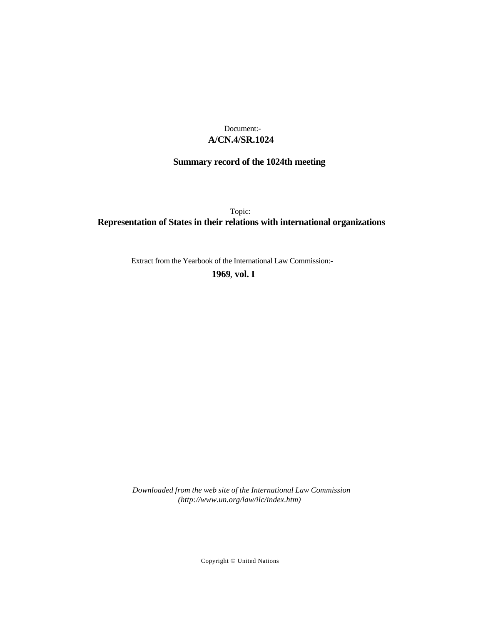## **A/CN.4/SR.1024** Document:-

# **Summary record of the 1024th meeting**

Topic: **Representation of States in their relations with international organizations**

Extract from the Yearbook of the International Law Commission:-

**1969** , **vol. I**

*Downloaded from the web site of the International Law Commission (http://www.un.org/law/ilc/index.htm)*

Copyright © United Nations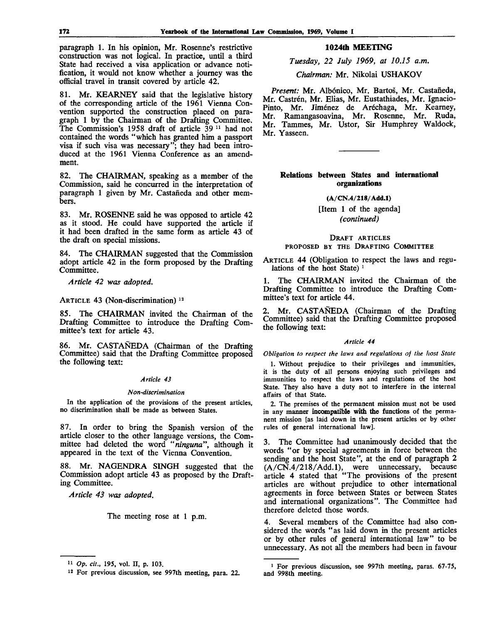paragraph 1. In his opinion, Mr. Rosenne's restrictive construction was not logical. In practice, until a third State had received a visa application or advance notification, it would not know whether a journey was the official travel in transit covered by article 42.

81. Mr. KEARNEY said that the legislative history of the corresponding article of the 1961 Vienna Convention supported the construction placed on paragraph 1 by the Chairman of the Drafting Committee. The Commission's 1958 draft of article 39<sup>11</sup> had not contained the words "which has granted him a passport visa if such visa was necessary"; they had been introduced at the 1961 Vienna Conference as an amendment.

82. The CHAIRMAN, speaking as a member of the Commission, said he concurred in the interpretation of paragraph 1 given by Mr. Castafieda and other members.

83. Mr. ROSENNE said he was opposed to article 42 as it stood. He could have supported the article if it had been drafted in the same form as article 43 of the draft on special missions.

84. The CHAIRMAN suggested that the Commission adopt article 42 in the form proposed by the Drafting Committee.

*Article 42 was adopted.*

ARTICLE 43 (Non-discrimination) $12$ 

85. The CHAIRMAN invited the Chairman of the Drafting Committee to introduce the Drafting Committee's text for article 43.

86. Mr. CASTANEDA (Chairman of the Drafting Committee) said that the Drafting Committee proposed the following text:

## *Article 43*

#### *Non-discrimination*

In the application of the provisions of the present articles, no discrimination shall be made as between States.

87. In order to bring the Spanish version of the article closer to the other language versions, the Committee had deleted the word *"ninguna",* although it appeared in the text of the Vienna Convention.

88. Mr. NAGENDRA SINGH suggested that the Commission adopt article 43 as proposed by the Drafting Committee.

*Article 43 was adopted.*

The meeting rose at 1 p.m.

## 1024th MEETING

*Tuesday, 22 July 1969, at 10.15 a.m.*

*Chairman:* Mr. Nikolai USHAKOV

*Present:* Mr. Albonico, Mr. Bartos, Mr. Castafieda, Mr. Castrén, Mr. Elias, Mr. Eustathiades, Mr. Ignacio-Pinto, Mr. Jiménez de Aréchaga, Mr. Kearney, Mr. Ramangasoavina, Mr. Rosenne, Mr. Ruda, Mr. Tammes, Mr. Ustor, Sir Humphrey Waldock, Mr. Yasseen.

## Relations between States and international organizations

**(A/CN.4/218/Add.l)**

[Item 1 of the agenda] *(continued)*

## DRAFT ARTICLES PROPOSED BY THE DRAFTING COMMITTEE

ARTICLE 44 (Obligation to respect the laws and regulations of the host State)<sup>1</sup>

1. The CHAIRMAN invited the Chairman of the Drafting Committee to introduce the Drafting Committee's text for article 44.

2. Mr. CASTANEDA (Chairman of the Drafting Committee) said that the Drafting Committee proposed the following text:

#### *Article 44*

*Obligation to respect the laws and regulations of the host State*

1. Without prejudice to their privileges and immunities, it is the duty of all persons enjoying such privileges and immunities to respect the laws and regulations of the host State. They also have a duty not to interfere in the internal affairs of that State.

2. The premises of the permanent mission must not be used in any manner **incompatible with the** functions of the permanent mission [as laid down in the present articles or by other rules of general international law].

3. The Committee had unanimously decided that the words "or by special agreements in force between the sending and the host State", at the end of paragraph 2 (A/CN.4/218/Add.l), were unnecessary, because article 4 stated that "The provisions of the present articles are without prejudice to other international agreements in force between States or between States and international organizations". The Committee had therefore deleted those words.

4. Several members of the Committee had also considered the words "as laid down in the present articles or by other rules of general international law" to be unnecessary. As not all the members had been in favour

<sup>11</sup>  *Op. cit.,* 195, vol. II, p. 103.

<sup>12</sup> For previous discussion, see 997th meeting, para. 22.

<sup>1</sup> For previous discussion, see 997th meeting, paras. 67-75, and 998th meeting.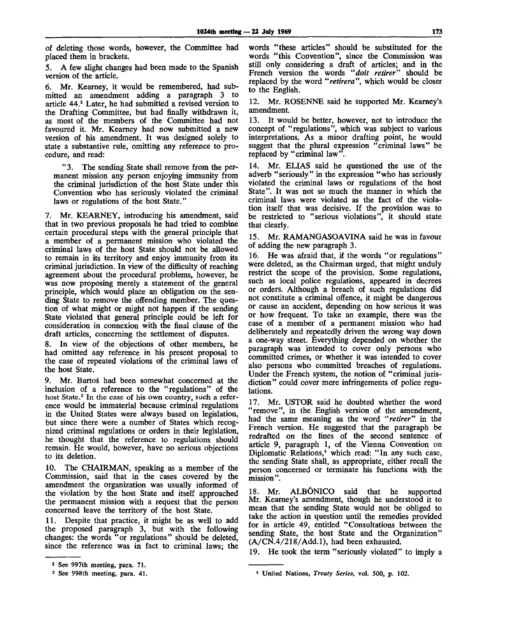of deleting those words, however, the Committee had placed them in brackets.

5. A few slight changes had been made to the Spanish version of the article.

6. Mr. Kearney, it would be remembered, had submitted an amendment adding a paragraph 3 to article 44.<sup>2</sup> Later, he had submitted a revised version to the Drafting Committee, but had finally withdrawn it, as most of the members of the Committee had not favoured it. Mr. Kearney had now submitted a new version of his amendment. It was designed solely to state a substantive rule, omitting any reference to procedure, and read:

" 3. The sending State shall remove from the permanent mission any person enjoying immunity from the criminal jurisdiction of the host State under this Convention who has seriously violated the criminal laws or regulations of the host State."

7. Mr. KEARNEY, introducing his amendment, said that in two previous proposals he had tried to combine certain procedural steps with the general principle that a member of a permanent mission who violated the criminal laws of the host State should not be allowed to remain in its territory and enjoy immunity from its criminal jurisdiction. In view of the difficulty of reaching agreement about the procedural problems, however, he was now proposing merely a statement of the general principle, which would place an obligation on the sending State to remove the offending member. The question of what might or might not happen if the sending State violated that general principle could be left for consideration in connexion with the final clause of the draft articles, concerning the settlement of disputes.

8. In view of the objections of other members, he had omitted any reference in his present proposal to the case of repeated violations of the criminal laws of the host State.

9. Mr. Bartos had been somewhat concerned at the inclusion of a reference to the "regulations" of the host State.<sup>3</sup> In the case of his own country, such a reference would be immaterial because criminal regulations in the United States were always based on legislation, but since there were a number of States which recognized criminal regulations or orders in their legislation, he thought that the reference to regulations should remain. He would, however, have no serious objections to its deletion.

10. The CHAIRMAN, speaking as a member of the Commission, said that in the cases covered by the amendment the organization was usually informed of the violation by the host State and itself approached the permanent mission with a request that the person concerned leave the territory of the host State.

11. Despite that practice, it might be as well to add the proposed paragraph 3, but with the following changes: the words "or regulations" should be deleted, since the reference was in fact to criminal laws; the words "these articles" should be substituted for the words "this Convention", since the Commission was still only considering a draft of articles; and in the French version the words *"doit retirer"* should be replaced by the word *"retirera",* which would be closer to the English.

12. Mr. ROSENNE said he supported Mr. Kearney's amendment.

13. It would be better, however, not to introduce the concept of "regulations", which was subject to various interpretations. As a minor drafting point, he would suggest that the plural expression "criminal laws" be replaced by "criminal law".

14. Mr. ELIAS said he questioned the use of the adverb "seriously" in the expression "who has seriously violated the criminal laws or regulations of the host State". It was not so much the manner in which the criminal laws were violated as the fact of the violation itself that was decisive. If the provision was to be restricted to "serious violations", it should state that clearly.

15. Mr. RAMANGASOAVINA said he was in favour of adding the new paragraph 3.

16. He was afraid that, if the words "or regulations" were deleted, as the Chairman urged, that might unduly restrict the scope of the provision. Some regulations, such as local police regulations, appeared in decrees or orders. Although a breach of such regulations did not constitute a criminal offence, it might be dangerous or cause an accident, depending on how serious it was or how frequent. To take an example, there was the case of a member of a permanent mission who had deliberately and repeatedly driven the wrong way down a one-way street. Everything depended on whether the paragraph was intended to cover only persons who committed crimes, or whether it was intended to cover also persons who committed breaches of regulations. Under the French system, the notion of "criminal jurisdiction" could cover mere infringements of police regulations.

17. Mr. USTOR said he doubted whether the word "remove", in the English version of the amendment, had the same meaning as the word *"retirer"* in the French version. He suggested that the paragraph be redrafted on the lines of the second sentence of article 9, paragraph 1, of the Vienna Convention on Diplomatic Relations,<sup>4</sup> which read: "In any such case, the sending State shall, as appropriate, either recall the person concerned or terminate his functions with the mission".

18. Mr. ALBÓNICO said that he supported Mr. Kearney's amendment, though he understood it to mean that the sending State would not be obliged to take the action in question until the remedies provided for in article 49, entitled "Consultations between the sending State, the host State and the Organization" (A/CN.4/218/Add.l), had been exhausted.

19. He took the term "seriously violated" to imply a

<sup>2</sup> See 997th meeting, para. 71.

<sup>3</sup> See 998th meeting, para. 41.

<sup>4</sup> United Nations, *Treaty Series,* vol. 500, p. 102.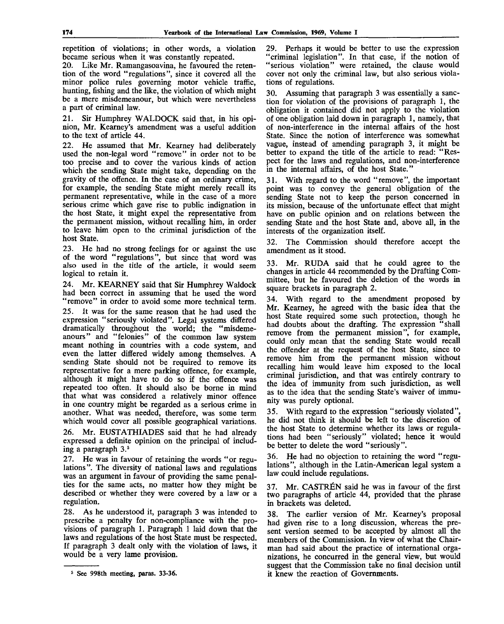repetition of violations; in other words, a violation became serious when it was constantly repeated.

20. Like Mr. Ramangasoavina, he favoured the retention of the word "regulations", since it covered all the minor police rules governing motor vehicle traffic, hunting, fishing and the like, the violation of which might be a mere misdemeanour, but which were nevertheless a part of criminal law.

21. Sir Humphrey WALDOCK said that, in his opinion, Mr. Kearney's amendment was a useful addition to the text of article 44.

22. He assumed that Mr. Kearney had deliberately used the non-legal word "remove" in order not to be too precise and to cover the various kinds of action which the sending State might take, depending on the gravity of the offence. In the case of an ordinary crime, for example, the sending State might merely recall its permanent representative, while in the case of a more serious crime which gave rise to public indignation in the host State, it might expel the representative from the permanent mission, without recalling him, in order to leave him open to the criminal jurisdiction of the host State.

23. He had no strong feelings for or against the use of the word "regulations", but since that word was also used in the title of the article, it would seem logical to retain it.

24. Mr. KEARNEY said that Sir Humphrey Waldock had been correct in assuming that he used the word "remove" in order to avoid some more technical term. 25. It was for the same reason that he had used the expression "seriously violated". Legal systems differed dramatically throughout the world; the "misdemeanours" and "felonies" of the common law system meant nothing in countries with a code system, and even the latter differed widely among themselves. A sending State should not be required to remove its representative for a mere parking offence, for example, although it might have to do so if the offence was repeated too often. It should also be borne in mind that what was considered a relatively minor offence in one country might be regarded as a serious crime in another. What was needed, therefore, was some term which would cover all possible geographical variations.

26. Mr. EUSTATHIADES said that he had already expressed a definite opinion on the principal of including a paragraph 3.<sup>5</sup>

27. He was in favour of retaining the words "or regulations". The diversity of national laws and regulations was an argument in favour of providing the same penalties for the same acts, no matter how they might be described or whether they were covered by a law or a regulation.

28. As he understood it, paragraph 3 was intended to prescribe a penalty for non-compliance with the provisions of paragraph 1. Paragraph 1 laid down that the laws and regulations of the host State must be respected. If paragraph 3 dealt only with the violation of laws, it would be a very lame provision.

29. Perhaps it would be better to use the expression "criminal legislation". In that case, if the notion of "serious violation" were retained, the clause would cover not only the criminal law, but also serious violations of regulations.

30. Assuming that paragraph 3 was essentially a sanction for violation of the provisions of paragraph 1, the obligation it contained did not apply to the violation of one obligation laid down in paragraph 1, namely, that of non-interference in the internal affairs of the host State. Since the notion of interference was somewhat vague, instead of amending paragraph 3, it might be better to expand the title of the article to read: "Respect for the laws and regulations, and non-interference in the internal affairs, of the host State."

31. With regard to the word "remove", the important point was to convey the general obligation of the sending State not to keep the person concerned in its mission, because of the unfortunate effect that might have on public opinion and on relations between the sending State and the host State and, above all, in the interests of the organization itself.

32. The Commission should therefore accept the amendment as it stood.

33. Mr. RUDA said that he could agree to the changes in article 44 recommended by the Drafting Committee, but he favoured the deletion of the words in square brackets in paragraph 2.

34. With regard to the amendment proposed by Mr. Kearney, he agreed with the basic idea that the host State required some such protection, though he had doubts about the drafting. The expression "shall remove from the permanent mission", for example, could only mean that the sending State would recall the offender at the request of the host State, since to remove him from the permanent mission without recalling him would leave him exposed to the local criminal jurisdiction, and that was entirely contrary to the idea of immunity from such jurisdiction, as well as to the idea that the sending State's waiver of immunity was purely optional.

35. With regard to the expression "seriously violated", he did not think it should be left to the discretion of the host State to determine whether its laws or regulations had been "seriously" violated; hence it would be better to delete the word "seriously".

36. He had no objection to retaining the word "regulations", although in the Latin-American legal system a law could include regulations.

37. Mr. CASTREN said he was in favour of the first two paragraphs of article 44, provided that the phrase in brackets was deleted.

38. The earlier version of Mr. Kearney's proposal had given rise to a long discussion, whereas the present version seemed to be accepted by almost all the members of the Commission. In view of what the Chairman had said about the practice of international organizations, he concurred in the general view, but would suggest that the Commission take no final decision until it knew the reaction of Governments.

**See 998th meeting, paras. 33-36.**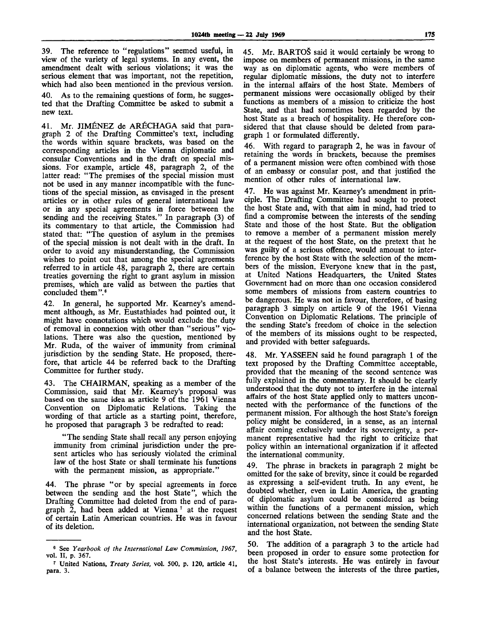39. The reference to "regulations" seemed useful, in view of the variety of legal systems. In any event, the amendment dealt with serious violations; it was the serious element that was important, not the repetition, which had also been mentioned in the previous version.

As to the remaining questions of form, he suggested that the Drafting Committee be asked to submit a new text.

41. Mr. JIMENEZ de ARECHAGA said that paragraph 2 of the Drafting Committee's text, including the words within square brackets, was based on the corresponding articles in the Vienna diplomatic and consular Conventions and in the draft on special missions. For example, article 48, paragraph 2, of the latter read: "The premises of the special mission must not be used in any manner incompatible with the functions of the special mission, as envisaged in the present articles or in other rules of general international law or in any special agreements in force between the sending and the receiving States." In paragraph (3) of its commentary to that article, the Commission had stated that: "The question of asylum in the premises of the special mission is not dealt with in the draft. In order to avoid any misunderstanding, the Commission wishes to point out that among the special agreements referred to in article 48, paragraph 2, there are certain treaties governing the right to grant asylum in mission premises, which are valid as between the parties that concluded them".<sup>6</sup>

42. In general, he supported Mr. Kearney's amendment although, as Mr. Eustathiades had pointed out, it might have connotations which would exclude the duty of removal in connexion with other than "serious" violations. There was also the question, mentioned by Mr. Ruda, of the waiver of immunity from criminal jurisdiction by the sending State. He proposed, therefore, that article 44 be referred back to the Drafting Committee for further study.

43. The CHAIRMAN, speaking as a member of the Commission, said that Mr. Kearney's proposal was based on the same idea as article 9 of the 1961 Vienna Convention on Diplomatic Relations. Taking the wording of that article as a starting point, therefore, he proposed that paragraph 3 be redrafted to read:

"The sending State shall recall any person enjoying immunity from criminal jurisdiction under the present articles who has seriously violated the criminal law of the host State or shall terminate his functions with the permanent mission, as appropriate.'

44. The phrase "or by special agreements in force between the sending and the host State", which the Drafting Committee had deleted from the end of paragraph 2, had been added at Vienna<sup>7</sup> at the request of certain Latin American countries. He was in favour of its deletion.

45. Mr. BARTOS said it would certainly be wrong to impose on members of permanent missions, in the same way as on diplomatic agents, who were members of regular diplomatic missions, the duty not to interfere in the internal affairs of the host State. Members of permanent missions were occasionally obliged by their functions as members of a mission to criticize the host State, and that had sometimes been regarded by the host State as a breach of hospitality. He therefore considered that that clause should be deleted from paragraph 1 or formulated differently.

46. With regard to paragraph 2, he was in favour of retaining the words in brackets, because the premises of a permanent mission were often combined with those of an embassy or consular post, and that justified the mention of other rules of international law.

47. He was against Mr. Kearney's amendment in principle. The Drafting Committee had sought to protect the host State and, with that aim in mind, had tried to find a compromise between the interests of the sending State and those of the host State. But the obligation to remove a member of a permanent mission merely at the request of the host State, on the pretext that he was guilty of a serious offence, would amount to interference by the host State with the selection of the members of the mission. Everyone knew that in the past, at United Nations Headquarters, the United States Government had on more than one occasion considered some members of missions from eastern countries to be dangerous. He was not in favour, therefore, of basing paragraph 3 simply on article 9 of the 1961 Vienna Convention on Diplomatic Relations. The principle of the sending State's freedom of choice in the selection of the members of its missions ought to be respected, and provided with better safeguards.

48. Mr. YASSEEN said he found paragraph 1 of the text proposed by the Drafting Committee acceptable, provided that the meaning of the second sentence was fully explained in the commentary. It should be clearly understood that the duty not to interfere in the internal affairs of the host State applied only to matters unconnected with the performance of the functions of the permanent mission. For although the host State's foreign policy might be considered, in a sense, as an internal affair coming exclusively under its sovereignty, a permanent representative had the right to criticize that policy within an international organization if it affected the international community.

49. The phrase in brackets in paragraph 2 might be omitted for the sake of brevity, since it could be regarded as expressing a self-evident truth. In any event, he doubted whether, even in Latin America, the granting of diplomatic asylum could be considered as being within the functions of a permanent mission, which concerned relations between the sending State and the international organization, not between the sending State and the host State.

50. The addition of a paragraph 3 to the article had been proposed in order to ensure some protection for the host State's interests. He was entirely in favour of a balance between the interests of the three parties,

<sup>6</sup> See *Yearbook of the International Law Commission, 1967,* vol. II, p. 367.

<sup>7</sup> United Nations, *Treaty Series,* vol. 500, p. 120, article 41, para. 3.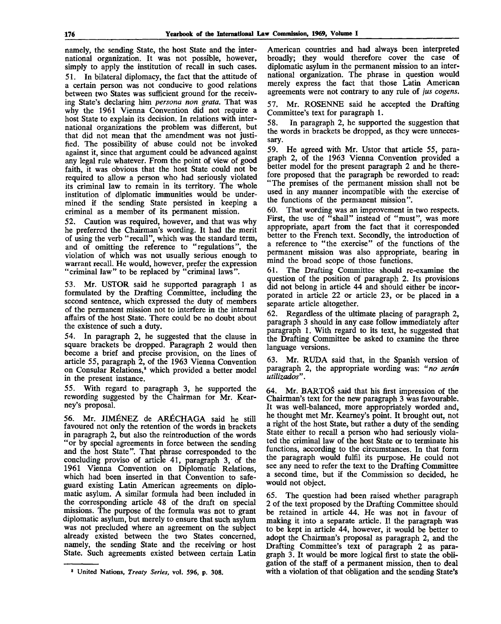namely, the sending State, the host State and the international organization. It was not possible, however, simply to apply the institution of recall in such cases. 51. In bilateral diplomacy, the fact that the attitude of a certain person was not conducive to good relations between two States was sufficient ground for the receiving State's declaring him *persona non grata.* That was why the 1961 Vienna Convention did not require a host State to explain its decision. In relations with international organizations the problem was different, but that did not mean that the amendment was not justified. The possibility of abuse could not be invoked against it, since that argument could be advanced against any legal rule whatever. From the point of view of good faith, it was obvious that the host State could not be required to allow a person who had seriously violated its criminal law to remain in its territory. The whole institution of diplomatic immunities would be undermined if the sending State persisted in keeping a criminal as a member of its permanent mission.

52. Caution was required, however, and that was why he preferred the Chairman's wording. It had the merit of using the verb "recall", which was the standard term, and of omitting the reference to "regulations", the violation of which was not usually serious enough to warrant recall. He would, however, prefer the expression "criminal law" to be replaced by "criminal laws".

53. Mr. USTOR said he supported paragraph 1 as formulated by the Drafting Committee, including the second sentence, which expressed the duty of members of the permanent mission not to interfere in the internal affairs of the host State. There could be no doubt about the existence of such a duty.

54. In paragraph 2, he suggested that the clause in square brackets be dropped. Paragraph 2 would then become a brief and precise provision, on the lines of article 55, paragraph 2, of the 1963 Vienna Convention on Consular Relations,<sup>8</sup> which provided a better model in the present instance.

55. With regard to paragraph 3, he supported the rewording suggested by the Chairman for Mr. Kearney's proposal.

56. Mr. JIMENEZ de ARECHAGA said he still favoured not only the retention of the words in brackets in paragraph 2, but also the reintroduction of the words "or by special agreements in force between the sending and the host State". That phrase corresponded to the concluding proviso of article 41, paragraph 3, of the 1961 Vienna Convention on Diplomatic Relations, which had been inserted in that Convention to safeguard existing Latin American agreements on diplomatic asylum. A similar formula had been included in the corresponding article 48 of the draft on special missions. The purpose of the formula was not to grant diplomatic asylum, but merely to ensure that such asylum was not precluded where an agreement on the subject already existed between the two States concerned, namely, the sending State and the receiving or host State. Such agreements existed between certain Latin

American countries and had always been interpreted broadly; they would therefore cover the case of diplomatic asylum in the permanent mission to an international organization. The phrase in question would merely express the fact that those Latin American agreements were not contrary to any rule of *jus cogens.*

57. Mr. ROSENNE said he accepted the Drafting Committee's text for paragraph 1.

58. In paragraph 2, he supported the suggestion that the words in brackets be dropped, as they were unnecessary.

59. He agreed with Mr. Ustor that article 55, paragraph 2, of the 1963 Vienna Convention provided a better model for the present paragraph 2 and he therefore proposed that the paragraph be reworded to read: "The premises of the permanent mission shall not be used in any manner incompatible with the exercise of the functions of the permanent mission".

60. That wording was an improvement in two respects. First, the use of "shall" instead of "must", was more appropriate, apart from the fact that it corresponded better to the French text. Secondly, the introduction of a reference to "the exercise" of the functions of the permanent mission was also appropriate, bearing in mind the broad scope of those functions.

61. The Drafting Committee should re-examine the question of the position of paragraph 2. Its provisions did not belong in article 44 and should either be incorporated in article 22 or article 23, or be placed in a separate article altogether.

62. Regardless of the ultimate placing of paragraph 2, paragraph 3 should in any case follow immediately after paragraph 1. With regard to its text, he suggested that the Drafting Committee be asked to examine the three language versions.

63. Mr. RUDA said that, in the Spanish version of paragraph 2, the appropriate wording was: *"no serdn utilizctdos"*.

64. Mr. BARTO3 said that his first impression of the Chairman's text for the new paragraph 3 was favourable. It was well-balanced, more appropriately worded and, he thought met Mr. Kearney's point. It brought out, not a right of the host State, but rather a duty of the sending State either to recall a person who had seriously violated the criminal law of the host State or to terminate his functions, according to the circumstances. In that form the paragraph would fulfil its purpose. He could not see any need to refer the text to the Drafting Committee a second time, but if the Commission so decided, he would not object.

65. The question had been raised whether paragraph 2 of the text proposed by the Drafting Committee should be retained in article 44. He was not in favour of making it into a separate article. II the paragraph was to be kept in article 44, however, it would be better to adopt the Chairman's proposal as paragraph *2,* and the Drafting Committee's text of paragraph 2 as paragraph 3. It would be more logical first to state the obligation of the staff of a permanent mission, then to deal with a violation of that obligation and the sending State's

<sup>8</sup> United Nations, *Treaty Series,* vol. 596, p. 308.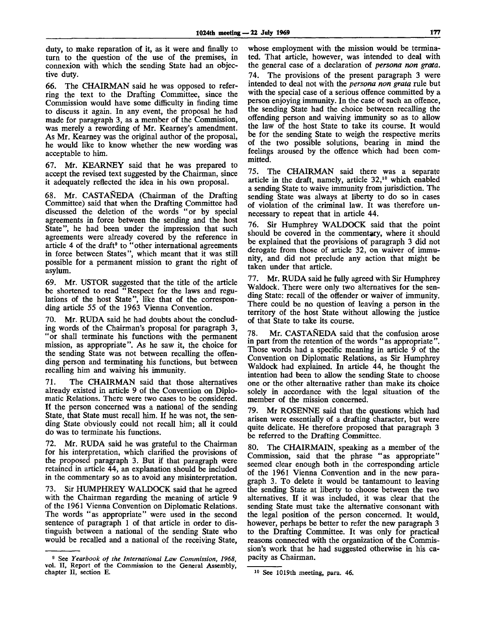duty, to make reparation of it, as it were and finally to turn to the question of the use of the premises, in connexion with which the sending State had an objective duty.

66. The CHAIRMAN said he was opposed to referring the text to the Drafting Committee, since the Commission would have some difficulty in finding time to discuss it again. In any event, the proposal he had made for paragraph 3, as a member of the Commission, was merely a rewording of Mr. Kearney's amendment. As Mr. Kearney was the original author of the proposal, he would like to know whether the new wording was acceptable to him.

67. Mr. KEARNEY said that he was prepared to accept the revised text suggested by the Chairman, since it adequately reflected the idea in his own proposal.

68. Mr. CASTANEDA (Chairman of the Drafting Committee) said that when the Drafting Committee had discussed the deletion of the words "or by special agreements in force between the sending and the host State", he had been under the impression that such agreements were already covered by the reference in article 4 of the draft $\theta$  to "other international agreements" in force between States", which meant that it was still possible for a permanent mission to grant the right of asylum.

69. Mr. USTOR suggested that the title of the article be shortened to read "Respect for the laws and regulations of the host State", like that of the corresponding article 55 of the 1963 Vienna Convention.

70. Mr. RUDA said he had doubts about the concluding words of the Chairman's proposal for paragraph 3, "or shall terminate his functions with the permanent mission, as appropriate". As he saw it, the choice for the sending State was not between recalling the offending person and terminating his functions, but between recalling him and waiving his immunity.

71. The CHAIRMAN said that those alternatives already existed in article 9 of the Convention on Diplomatic Relations. There were two cases to be considered. If the person concerned was a national of the sending State, that State must recall him. If he was not, the sending State obviously could not recall him; all it could do was to terminate his functions.

72. Mr. RUDA said he was grateful to the Chairman for his interpretation, which clarified the provisions of the proposed paragraph 3. But if that paragraph were retained in article 44, an explanation should be included in the commentary so as to avoid any misinterpretation.

73. Sir HUMPHREY WALDOCK said that he agreed with the Chairman regarding the meaning of article 9 of the 1961 Vienna Convention on Diplomatic Relations. The words "as appropriate" were used in the second sentence of paragraph 1 of that article in order to distinguish between a national of the sending State who would be recalled and a national of the receiving State,

whose employment with the mission would be terminated. That article, however, was intended to deal with the general case of a declaration of *persona non grata.* 74. The provisions of the present paragraph 3 were intended to deal not with the *persona non grata* rule but with the special case of a serious offence committed by a person enjoying immunity. In the case of such an offence, the sending State had the choice between recalling the offending person and waiving immunity so as to allow the law of the host State to take its course. It would be for the sending State to weigh the respective merits of the two possible solutions, bearing in mind the feelings aroused by the offence which had been committed.

75. The CHAIRMAN said there was a separate article in the draft, namely, article 32,<sup>10</sup> which enabled a sending State to waive immunity from jurisdiction. The sending State was always at liberty to do so in cases of violation of the criminal law. It was therefore unnecessary to repeat that in article 44.

76. Sir Humphrey WALDOCK said that the point should be covered in the commentary, where it should be explained that the provisions of paragraph 3 did not derogate from those of article 32, on waiver of immunity, and did not preclude any action that might be taken under that article.

77. Mr. RUDA said he fully agreed with Sir Humphrey Waldock. There were only two alternatives for the sending State: recall of the offender or waiver of immunity. There could be no question of leaving a person in the territory of the host State without allowing the justice of that State to take its course.

78. Mr. CASTANEDA said that the confusion arose in part from the retention of the words "as appropriate". Those words had a specific meaning in article 9 of the Convention on Diplomatic Relations, as Sir Humphrey Waldock had explained. In article 44, he thought the intention had been to allow the sending State to choose one or the other alternative rather than make its choice solely in accordance with the legal situation of the member of the mission concerned.

79. Mr ROSENNE said that the questions which had arisen were essentially of a drafting character, but were quite delicate. He therefore proposed that paragraph 3 be referred to the Drafting Committee.

80. The CHAIRMAIN, speaking as a member of the Commission, said that the phrase "as appropriate" seemed clear enough both in the corresponding article of the 1961 Vienna Convention and in the new paragraph 3. To delete it would be tantamount to leaving the sending State at liberty to choose between the two alternatives. If it was included, it was clear that the sending State must take the alternative consonant with the legal position of the person concerned. It would, however, perhaps be better to refer the new paragraph 3 to the Drafting Committee. It was only for practical reasons connected with the organization of the Commission's work that he had suggested otherwise in his capacity as Chairman.

<sup>9</sup> See *Yearbook of the International Law Commission, 1968,* vol. II, Report of the Commission to the General Assembly, chapter II, section E.

<sup>10</sup> See 1019th meeting, para. 46.